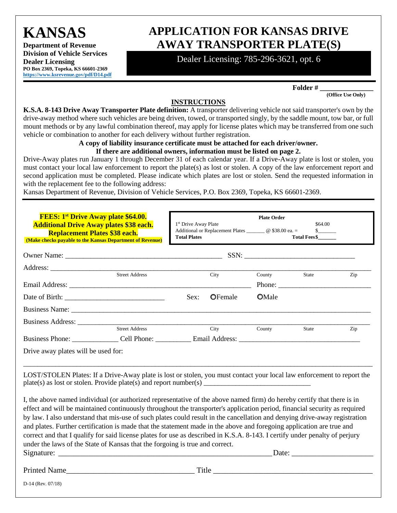**KANSAS** 

**Department of Revenue Division of Vehicle Services Dealer Licensing PO Box 2369, Topeka, KS 66601-2369 [https://www.ksrevenue.](https://www.ksrevenue.org/pdf/D14.pdf)gov/pdf/D14.pdf**

# **APPLICATION FOR KANSAS DRIVE AWAY TRANSPORTER PLATE(S)**

Dealer Licensing: 785-296-3621, opt. 6

**Folder # \_\_\_\_\_\_\_\_\_\_\_\_\_\_\_ (Office Use Only)** 

**INSTRUCTIONS** 

**K.S.A. 8-143 Drive Away Transporter Plate definition:** A transporter delivering vehicle not said transporter's own by the drive-away method where such vehicles are being driven, towed, or transported singly, by the saddle mount, tow bar, or full mount methods or by any lawful combination thereof, may apply for license plates which may be transferred from one such vehicle or combination to another for each delivery without further registration.

#### **A copy of liability insurance certificate must be attached for each driver/owner.**

#### **If there are additional owners, information must be listed on page 2.**

Drive-Away plates run January 1 through December 31 of each calendar year. If a Drive-Away plate is lost or stolen, you must contact your local law enforcement to report the plate(s) as lost or stolen. A copy of the law enforcement report and second application must be completed. Please indicate which plates are lost or stolen. Send the requested information in with the replacement fee to the following address:

Kansas Department of Revenue, Division of Vehicle Services, P.O. Box 2369, Topeka, KS 66601-2369.

| <b>FEES: 1st Drive Away plate \$64.00.</b><br><b>Additional Drive Away plates \$38 each.</b><br><b>Replacement Plates \$38 each.</b><br>(Make checks payable to the Kansas Department of Revenue)                                                                                                                                                                                                                                                                                                                                                                                                                                                                                                                           |  | 1 <sup>st</sup> Drive Away Plate<br>Additional or Replacement Plates _________ @ \$38.00 ea. =<br><b>Total Plates</b> |                 | <b>Plate Order</b><br>\$64.00<br>$\mathbb{S}$ and $\mathbb{S}$<br><b>Total Fees\$</b> |                 |     |
|-----------------------------------------------------------------------------------------------------------------------------------------------------------------------------------------------------------------------------------------------------------------------------------------------------------------------------------------------------------------------------------------------------------------------------------------------------------------------------------------------------------------------------------------------------------------------------------------------------------------------------------------------------------------------------------------------------------------------------|--|-----------------------------------------------------------------------------------------------------------------------|-----------------|---------------------------------------------------------------------------------------|-----------------|-----|
|                                                                                                                                                                                                                                                                                                                                                                                                                                                                                                                                                                                                                                                                                                                             |  |                                                                                                                       |                 |                                                                                       |                 |     |
|                                                                                                                                                                                                                                                                                                                                                                                                                                                                                                                                                                                                                                                                                                                             |  |                                                                                                                       |                 |                                                                                       |                 |     |
|                                                                                                                                                                                                                                                                                                                                                                                                                                                                                                                                                                                                                                                                                                                             |  |                                                                                                                       |                 | County                                                                                | State<br>Phone: | Zip |
|                                                                                                                                                                                                                                                                                                                                                                                                                                                                                                                                                                                                                                                                                                                             |  | Sex:                                                                                                                  | <b>O</b> Female | <b>O</b> Male                                                                         |                 |     |
|                                                                                                                                                                                                                                                                                                                                                                                                                                                                                                                                                                                                                                                                                                                             |  |                                                                                                                       |                 |                                                                                       |                 |     |
| <b>Street Address</b>                                                                                                                                                                                                                                                                                                                                                                                                                                                                                                                                                                                                                                                                                                       |  |                                                                                                                       |                 |                                                                                       |                 |     |
|                                                                                                                                                                                                                                                                                                                                                                                                                                                                                                                                                                                                                                                                                                                             |  |                                                                                                                       | City            | County                                                                                | State           | Zip |
| Drive away plates will be used for:                                                                                                                                                                                                                                                                                                                                                                                                                                                                                                                                                                                                                                                                                         |  |                                                                                                                       |                 |                                                                                       |                 |     |
| LOST/STOLEN Plates: If a Drive-Away plate is lost or stolen, you must contact your local law enforcement to report the                                                                                                                                                                                                                                                                                                                                                                                                                                                                                                                                                                                                      |  |                                                                                                                       |                 |                                                                                       |                 |     |
| I, the above named individual (or authorized representative of the above named firm) do hereby certify that there is in<br>effect and will be maintained continuously throughout the transporter's application period, financial security as required<br>by law. I also understand that mis-use of such plates could result in the cancellation and denying drive-away registration<br>and plates. Further certification is made that the statement made in the above and foregoing application are true and<br>correct and that I qualify for said license plates for use as described in K.S.A. 8-143. I certify under penalty of perjury<br>under the laws of the State of Kansas that the forgoing is true and correct. |  |                                                                                                                       |                 |                                                                                       | Date:           |     |
| Printed Name Title Times and Title Times and Title Times and Title Times and Title Times and Title Times and Title Times and Title Times and Title Times and Title Times and Title Times and Title Times and Title Times and T                                                                                                                                                                                                                                                                                                                                                                                                                                                                                              |  |                                                                                                                       |                 |                                                                                       |                 |     |
| $D-14$ (Rev. 07/18)                                                                                                                                                                                                                                                                                                                                                                                                                                                                                                                                                                                                                                                                                                         |  |                                                                                                                       |                 |                                                                                       |                 |     |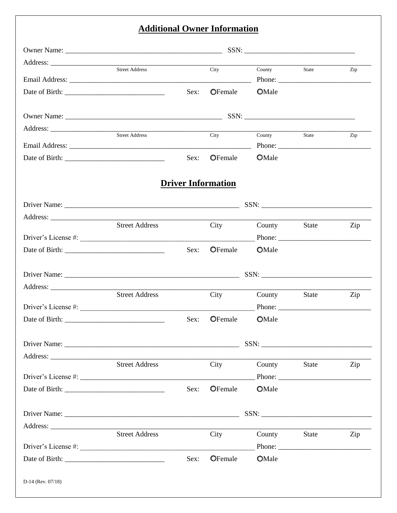### **Additional Owner Information**

|                | Street Address        |      | City                      | County        | State                                                                                                                                                                                                                                                                                                                                                                                                                         | Zip |
|----------------|-----------------------|------|---------------------------|---------------|-------------------------------------------------------------------------------------------------------------------------------------------------------------------------------------------------------------------------------------------------------------------------------------------------------------------------------------------------------------------------------------------------------------------------------|-----|
|                |                       |      |                           |               | Phone: $\frac{1}{\sqrt{1-\frac{1}{2}}\sqrt{1-\frac{1}{2}}\sqrt{1-\frac{1}{2}}\sqrt{1-\frac{1}{2}}\sqrt{1-\frac{1}{2}}\sqrt{1-\frac{1}{2}}\sqrt{1-\frac{1}{2}}\sqrt{1-\frac{1}{2}}\sqrt{1-\frac{1}{2}}\sqrt{1-\frac{1}{2}}\sqrt{1-\frac{1}{2}}\sqrt{1-\frac{1}{2}}\sqrt{1-\frac{1}{2}}\sqrt{1-\frac{1}{2}}\sqrt{1-\frac{1}{2}}\sqrt{1-\frac{1}{2}}\sqrt{1-\frac{1}{2}}\sqrt{1-\frac{1}{2}}\sqrt{1-\frac{1}{2$                  |     |
|                |                       | Sex: | <b>O</b> Female           | <b>O</b> Male |                                                                                                                                                                                                                                                                                                                                                                                                                               |     |
|                |                       |      |                           |               | $SSN: \begin{tabular}{ c c c c } \hline \multicolumn{3}{ c }{\textbf{SSN}}: \begin{tabular}{ c c c c } \hline \multicolumn{3}{ c }{\textbf{SSN}}: \begin{tabular}{ c c c } \hline \multicolumn{3}{ c }{\textbf{SSN}}: \begin{tabular}{ c c c c } \hline \multicolumn{3}{ c }{\textbf{SSN}}: \begin{tabular}{ c c c } \hline \multicolumn{3}{ c }{\textbf{SSN}}: \begin{tabular}{ c c c } \hline \multicolumn{3}{ c }{\textbf$ |     |
|                |                       |      |                           |               |                                                                                                                                                                                                                                                                                                                                                                                                                               |     |
|                | Street Address        |      | City                      | County State  | Phone: $\frac{1}{\sqrt{1-\frac{1}{2}}\sqrt{1-\frac{1}{2}}\sqrt{1-\frac{1}{2}}\sqrt{1-\frac{1}{2}}\sqrt{1-\frac{1}{2}}\sqrt{1-\frac{1}{2}}\sqrt{1-\frac{1}{2}}\sqrt{1-\frac{1}{2}}\sqrt{1-\frac{1}{2}}\sqrt{1-\frac{1}{2}}\sqrt{1-\frac{1}{2}}\sqrt{1-\frac{1}{2}}\sqrt{1-\frac{1}{2}}\sqrt{1-\frac{1}{2}}\sqrt{1-\frac{1}{2}}\sqrt{1-\frac{1}{2}}\sqrt{1-\frac{1}{2}}\sqrt{1-\frac{1}{2}}\sqrt{1-\frac{1}{2$                  | Zip |
|                |                       | Sex: | <b>O</b> Female           | <b>O</b> Male |                                                                                                                                                                                                                                                                                                                                                                                                                               |     |
|                |                       |      |                           |               |                                                                                                                                                                                                                                                                                                                                                                                                                               |     |
|                |                       |      | <b>Driver Information</b> |               |                                                                                                                                                                                                                                                                                                                                                                                                                               |     |
|                |                       |      |                           |               |                                                                                                                                                                                                                                                                                                                                                                                                                               |     |
|                |                       |      |                           |               |                                                                                                                                                                                                                                                                                                                                                                                                                               |     |
|                | <b>Street Address</b> |      | City                      | County        | State                                                                                                                                                                                                                                                                                                                                                                                                                         | Zip |
|                |                       |      |                           |               | Phone:                                                                                                                                                                                                                                                                                                                                                                                                                        |     |
|                |                       | Sex: | OFemale                   | <b>OMale</b>  |                                                                                                                                                                                                                                                                                                                                                                                                                               |     |
|                |                       |      |                           |               |                                                                                                                                                                                                                                                                                                                                                                                                                               |     |
|                |                       |      |                           |               |                                                                                                                                                                                                                                                                                                                                                                                                                               |     |
|                | <b>Street Address</b> |      | City                      | County        | State                                                                                                                                                                                                                                                                                                                                                                                                                         | Zip |
|                | Driver's License #:   |      |                           |               | Phone:                                                                                                                                                                                                                                                                                                                                                                                                                        |     |
| Date of Birth: |                       | Sex: | <b>O</b> Female           | <b>O</b> Male |                                                                                                                                                                                                                                                                                                                                                                                                                               |     |
|                |                       |      |                           |               |                                                                                                                                                                                                                                                                                                                                                                                                                               |     |
|                |                       |      |                           |               |                                                                                                                                                                                                                                                                                                                                                                                                                               |     |
|                | <b>Street Address</b> |      | City                      | County        | State                                                                                                                                                                                                                                                                                                                                                                                                                         | Zip |
|                |                       |      |                           |               |                                                                                                                                                                                                                                                                                                                                                                                                                               |     |
|                |                       | Sex: | OFemale                   | <b>OMale</b>  |                                                                                                                                                                                                                                                                                                                                                                                                                               |     |
|                |                       |      |                           |               |                                                                                                                                                                                                                                                                                                                                                                                                                               |     |
|                |                       |      |                           |               |                                                                                                                                                                                                                                                                                                                                                                                                                               |     |
|                | <b>Street Address</b> |      | City                      | County        | State                                                                                                                                                                                                                                                                                                                                                                                                                         | Zip |
|                |                       |      |                           |               |                                                                                                                                                                                                                                                                                                                                                                                                                               |     |
|                |                       |      |                           |               | Phone: $\frac{1}{\sqrt{1-\frac{1}{2}}\sqrt{1-\frac{1}{2}}\sqrt{1-\frac{1}{2}}\sqrt{1-\frac{1}{2}}\sqrt{1-\frac{1}{2}}\sqrt{1-\frac{1}{2}}\sqrt{1-\frac{1}{2}}\sqrt{1-\frac{1}{2}}\sqrt{1-\frac{1}{2}}\sqrt{1-\frac{1}{2}}\sqrt{1-\frac{1}{2}}\sqrt{1-\frac{1}{2}}\sqrt{1-\frac{1}{2}}\sqrt{1-\frac{1}{2}}\sqrt{1-\frac{1}{2}}\sqrt{1-\frac{1}{2}}\sqrt{1-\frac{1}{2}}\sqrt{1-\frac{1}{2}}\sqrt{1-\frac{1}{2$                  |     |